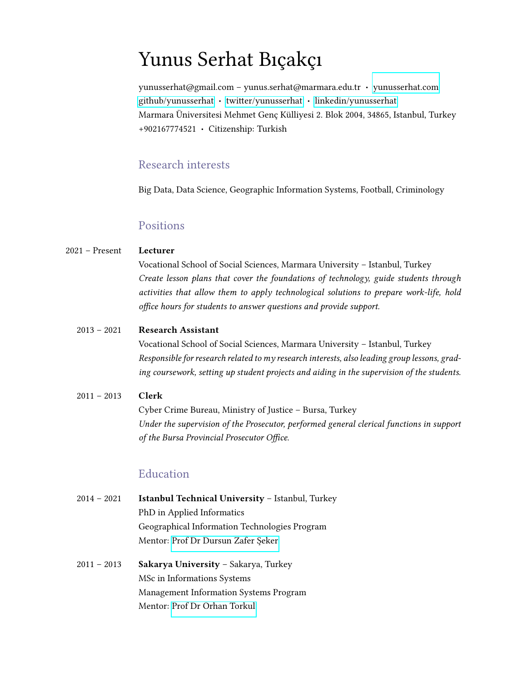# Yunus Serhat Bıçakçı

yunusserhat@gmail.com – yunus.serhat@marmara.edu.tr · [yunusserhat.com](www.yunusserhat.com) [github/yunusserhat](https://github.com/yunusserhat) · [twitter/yunusserhat](https://www.twitter.com/yunusserhat) · [linkedin/yunusserhat](https://www.linkedin.com/in/yunusserhat) Marmara Üniversitesi Mehmet Genc Külliyesi 2. Blok 2004, 34865, Istanbul, Turkey +902167774521 · Citizenship: Turkish

#### Research interests

Big Data, Data Science, Geographic Information Systems, Football, Criminology

#### Positions

#### 2021 – Present Lecturer

Vocational School of Social Sciences, Marmara University – Istanbul, Turkey Create lesson plans that cover the foundations of technology, guide students through activities that allow them to apply technological solutions to prepare work-life, hold office hours for students to answer questions and provide support.

#### 2013 – 2021 Research Assistant

Vocational School of Social Sciences, Marmara University – Istanbul, Turkey Responsible for research related to my research interests, also leading group lessons, grading coursework, setting up student projects and aiding in the supervision of the students.

### 2011 – 2013 Clerk Cyber Crime Bureau, Ministry of Justice – Bursa, Turkey Under the supervision of the Prosecutor, performed general clerical functions in support of the Bursa Provincial Prosecutor Office.

#### Education

- 2014 2021 Istanbul Technical University Istanbul, Turkey PhD in Applied Informatics Geographical Information Technologies Program Mentor: Prof Dr Dursun Zafer Şeker
- 2011 2013 Sakarya University Sakarya, Turkey MSc in Informations Systems Management Information Systems Program Mentor: [Prof Dr Orhan Torkul](https://torkul.sakarya.edu.tr)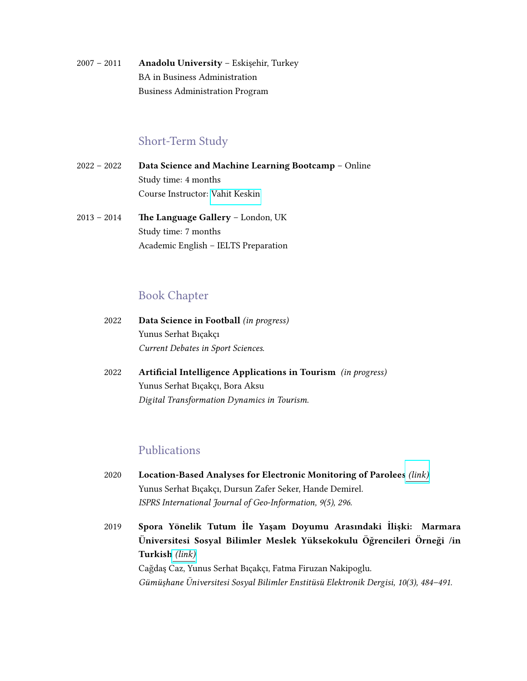2007 - 2011 **Anadolu University - Eskişehir, Turkey** BA in Business Administration Business Administration Program

#### Short-Term Study

- 2022 2022 Data Science and Machine Learning Bootcamp Online Study time: 4 months Course Instructor: [Vahit Keskin](https://www.linkedin.com/in/vahitkeskin)
- 2013 2014 The Language Gallery London, UK Study time: 7 months Academic English – IELTS Preparation

#### Book Chapter

- 2022 Data Science in Football (in progress) Yunus Serhat Bıçakçı Current Debates in Sport Sciences.
- 2022 Artificial Intelligence Applications in Tourism (in progress) Yunus Serhat Bıçakçı, Bora Aksu Digital Transformation Dynamics in Tourism.

#### Publications

- 2020 Location-Based Analyses for Electronic Monitoring of Parolees [\(link\)](https://doi.org/10.3390/ijgi9050296) Yunus Serhat Bıçakçı, Dursun Zafer Seker, Hande Demirel. ISPRS International Journal of Geo-Information, 9(5), 296.
- 2019 Spora Yönelik Tutum İle Yaşam Doyumu Arasındaki İlişki: Marmara Üniversitesi Sosyal Bilimler Meslek Yüksekokulu Öğrencileri Örneği /in Turkish [\(link\)](https://dergipark.org.tr/en/download/article-file/838255) Cağdaş Caz, Yunus Serhat Bıçakçı, Fatma Firuzan Nakipoglu. Gümüşhane Üniversitesi Sosyal Bilimler Enstitüsü Elektronik Dergisi, 10(3), 484–491.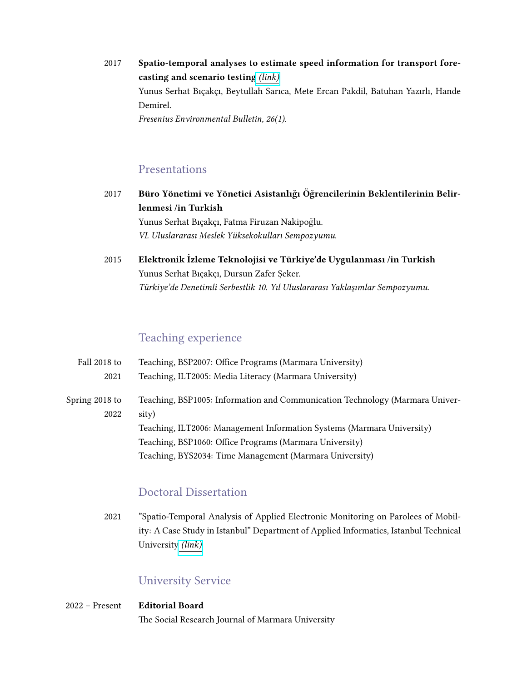2017 Spatio-temporal analyses to estimate speed information for transport forecasting and scenario testing [\(link\)](https://www.researchgate.net/publication/320011808_Spatio-temporal_analyses_to_estimate_speed_information_for_transport_forecasting_and_scenario_testing) Yunus Serhat Bıçakçı, Beytullah Sarıca, Mete Ercan Pakdil, Batuhan Yazırlı, Hande Demirel. Fresenius Environmental Bulletin, 26(1).

#### Presentations

2017 Büro Yönetimi ve Yönetici Asistanlığı Öğrencilerinin Beklentilerinin Belirlenmesi /in Turkish Yunus Serhat Bıçakçı, Fatma Firuzan Nakipoğlu.

VI. Uluslararası Meslek Yüksekokulları Sempozyumu.

2015 Elektronik İzleme Teknolojisi ve Türkiye'de Uygulanması /in Turkish Yunus Serhat Bıçakçı, Dursun Zafer Şeker. Türkiye'de Denetimli Serbestlik 10. Yıl Uluslararası Yaklaşımlar Sempozyumu.

## Teaching experience

| Fall 2018 to           | Teaching, BSP2007: Office Programs (Marmara University)                               |
|------------------------|---------------------------------------------------------------------------------------|
| 2021                   | Teaching, ILT2005: Media Literacy (Marmara University)                                |
| Spring 2018 to<br>2022 | Teaching, BSP1005: Information and Communication Technology (Marmara Univer-<br>sity) |
|                        | Teaching, ILT2006: Management Information Systems (Marmara University)                |
|                        | Teaching, BSP1060: Office Programs (Marmara University)                               |
|                        | Teaching, BYS2034: Time Management (Marmara University)                               |

#### Doctoral Dissertation

2021 "Spatio-Temporal Analysis of Applied Electronic Monitoring on Parolees of Mobility: A Case Study in Istanbul" Department of Applied Informatics, Istanbul Technical University [\(link\)](https://tez.yok.gov.tr/UlusalTezMerkezi/tezDetay.jsp?id=TMM3d5R_2gUCBMlhAXt_SQ&no=kzyjTlpPUSsqpwF1WCvbtg)

## University Service

2022 – Present Editorial Board The Social Research Journal of Marmara University